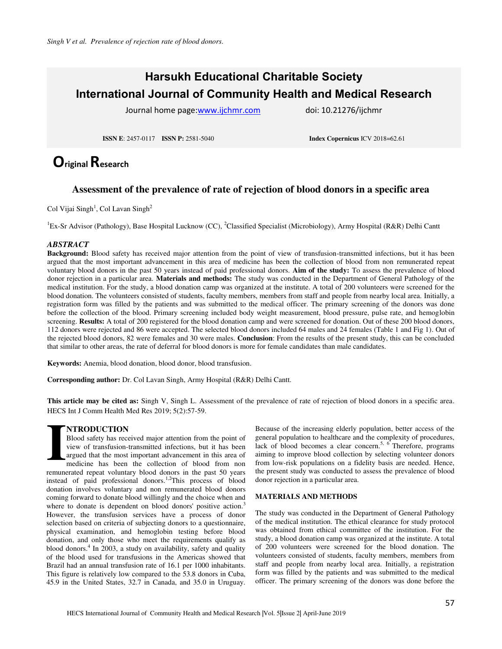# **Harsukh Educational Charitable Society International Journal of Community Health and Medical Research**

Journal home page[:www.ijchmr.com](http://www.ijchmr.com/) doi: 10.21276/ijchmr

**ISSN E**: 2457-0117 **ISSN P:** 2581-5040 **Index Copernicus** ICV 2018=62.61

# **Original Research**

## **Assessment of the prevalence of rate of rejection of blood donors in a specific area**

Col Vijai Singh<sup>1</sup>, Col Lavan Singh<sup>2</sup>

<sup>1</sup>Ex-Sr Advisor (Pathology), Base Hospital Lucknow (CC), <sup>2</sup>Classified Specialist (Microbiology), Army Hospital (R&R) Delhi Cantt

### *ABSTRACT*

**Background:** Blood safety has received major attention from the point of view of transfusion-transmitted infections, but it has been argued that the most important advancement in this area of medicine has been the collection of blood from non remunerated repeat voluntary blood donors in the past 50 years instead of paid professional donors. **Aim of the study:** To assess the prevalence of blood donor rejection in a particular area. **Materials and methods:** The study was conducted in the Department of General Pathology of the medical institution. For the study, a blood donation camp was organized at the institute. A total of 200 volunteers were screened for the blood donation. The volunteers consisted of students, faculty members, members from staff and people from nearby local area. Initially, a registration form was filled by the patients and was submitted to the medical officer. The primary screening of the donors was done before the collection of the blood. Primary screening included body weight measurement, blood pressure, pulse rate, and hemoglobin screening. **Results:** A total of 200 registered for the blood donation camp and were screened for donation. Out of these 200 blood donors, 112 donors were rejected and 86 were accepted. The selected blood donors included 64 males and 24 females (Table 1 and Fig 1). Out of the rejected blood donors, 82 were females and 30 were males. **Conclusion**: From the results of the present study, this can be concluded that similar to other areas, the rate of deferral for blood donors is more for female candidates than male candidates.

**Keywords:** Anemia, blood donation, blood donor, blood transfusion.

**Corresponding author:** Dr. Col Lavan Singh, Army Hospital (R&R) Delhi Cantt.

**This article may be cited as:** Singh V, Singh L. Assessment of the prevalence of rate of rejection of blood donors in a specific area. HECS Int J Comm Health Med Res 2019; 5(2):57-59.

### **NTRODUCTION**

Blood safety has received major attention from the point of view of transfusion-transmitted infections, but it has been argued that the most important advancement in this area of medicine has been the collection of blood from non remunerated repeat voluntary blood donors in the past 50 years instead of paid professional donors.<sup>1,2</sup>This process of blood donation involves voluntary and non remunerated blood donors coming forward to donate blood willingly and the choice when and where to donate is dependent on blood donors' positive action.<sup>3</sup> However, the transfusion services have a process of donor selection based on criteria of subjecting donors to a questionnaire, physical examination, and hemoglobin testing before blood donation, and only those who meet the requirements qualify as blood donors.<sup>4</sup> In 2003, a study on availability, safety and quality of the blood used for transfusions in the Americas showed that Brazil had an annual transfusion rate of 16.1 per 1000 inhabitants. This figure is relatively low compared to the 53.8 donors in Cuba, 45.9 in the United States, 32.7 in Canada, and 35.0 in Uruguay. **I I Bloc** view arguments

Because of the increasing elderly population, better access of the general population to healthcare and the complexity of procedures, lack of blood becomes a clear concern.<sup>5, 6</sup> Therefore, programs aiming to improve blood collection by selecting volunteer donors from low-risk populations on a fidelity basis are needed. Hence, the present study was conducted to assess the prevalence of blood donor rejection in a particular area.

#### **MATERIALS AND METHODS**

The study was conducted in the Department of General Pathology of the medical institution. The ethical clearance for study protocol was obtained from ethical committee of the institution. For the study, a blood donation camp was organized at the institute. A total of 200 volunteers were screened for the blood donation. The volunteers consisted of students, faculty members, members from staff and people from nearby local area. Initially, a registration form was filled by the patients and was submitted to the medical officer. The primary screening of the donors was done before the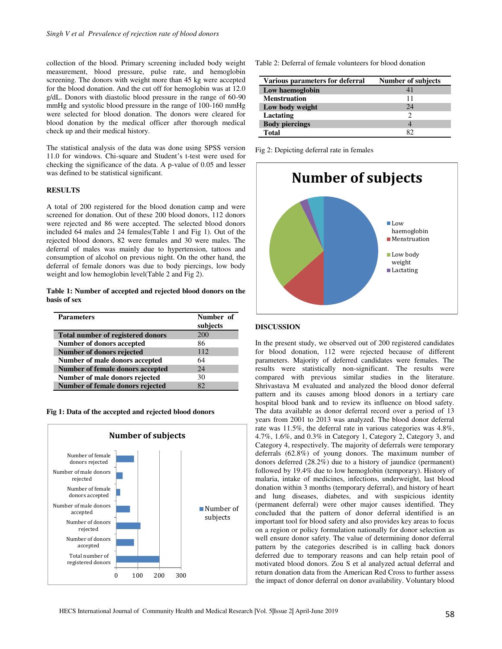collection of the blood. Primary screening included body weight measurement, blood pressure, pulse rate, and hemoglobin screening. The donors with weight more than 45 kg were accepted for the blood donation. And the cut off for hemoglobin was at 12.0 g/dL. Donors with diastolic blood pressure in the range of 60-90 mmHg and systolic blood pressure in the range of 100-160 mmHg were selected for blood donation. The donors were cleared for blood donation by the medical officer after thorough medical check up and their medical history.

The statistical analysis of the data was done using SPSS version 11.0 for windows. Chi-square and Student's t-test were used for checking the significance of the data. A p-value of 0.05 and lesser was defined to be statistical significant.

#### **RESULTS**

A total of 200 registered for the blood donation camp and were screened for donation. Out of these 200 blood donors, 112 donors were rejected and 86 were accepted. The selected blood donors included 64 males and 24 females(Table 1 and Fig 1). Out of the rejected blood donors, 82 were females and 30 were males. The deferral of males was mainly due to hypertension, tattoos and consumption of alcohol on previous night. On the other hand, the deferral of female donors was due to body piercings, low body weight and low hemoglobin level(Table 2 and Fig 2).

#### **Table 1: Number of accepted and rejected blood donors on the basis of sex**

| <b>Parameters</b>                        | Number of<br>subjects |
|------------------------------------------|-----------------------|
| <b>Total number of registered donors</b> | 200                   |
| <b>Number of donors accepted</b>         | 86                    |
| Number of donors rejected                | 112                   |
| Number of male donors accepted           | 64                    |
| <b>Number of female donors accepted</b>  | 24                    |
| Number of male donors rejected           | 30                    |
| Number of female donors rejected         | 82                    |

| Fig 1: Data of the accepted and rejected blood donors |  |
|-------------------------------------------------------|--|
|-------------------------------------------------------|--|



Table 2: Deferral of female volunteers for blood donation

| Various parameters for deferral | <b>Number of subjects</b> |
|---------------------------------|---------------------------|
| Low haemoglobin                 | 41                        |
| <b>Menstruation</b>             | 11                        |
| Low body weight                 | 24                        |
| Lactating                       |                           |
| <b>Body piercings</b>           |                           |
| <b>Total</b>                    | RΊ                        |

Fig 2: Depicting deferral rate in females



#### **DISCUSSION**

In the present study, we observed out of 200 registered candidates for blood donation, 112 were rejected because of different parameters. Majority of deferred candidates were females. The results were statistically non-significant. The results were compared with previous similar studies in the literature. Shrivastava M evaluated and analyzed the blood donor deferral pattern and its causes among blood donors in a tertiary care hospital blood bank and to review its influence on blood safety. The data available as donor deferral record over a period of 13 years from 2001 to 2013 was analyzed. The blood donor deferral rate was 11.5%, the deferral rate in various categories was 4.8%, 4.7%, 1.6%, and 0.3% in Category 1, Category 2, Category 3, and Category 4, respectively. The majority of deferrals were temporary deferrals (62.8%) of young donors. The maximum number of donors deferred (28.2%) due to a history of jaundice (permanent) followed by 19.4% due to low hemoglobin (temporary). History of malaria, intake of medicines, infections, underweight, last blood donation within 3 months (temporary deferral), and history of heart and lung diseases, diabetes, and with suspicious identity (permanent deferral) were other major causes identified. They concluded that the pattern of donor deferral identified is an important tool for blood safety and also provides key areas to focus on a region or policy formulation nationally for donor selection as well ensure donor safety. The value of determining donor deferral pattern by the categories described is in calling back donors deferred due to temporary reasons and can help retain pool of motivated blood donors. Zou S et al analyzed actual deferral and return donation data from the American Red Cross to further assess the impact of donor deferral on donor availability. Voluntary blood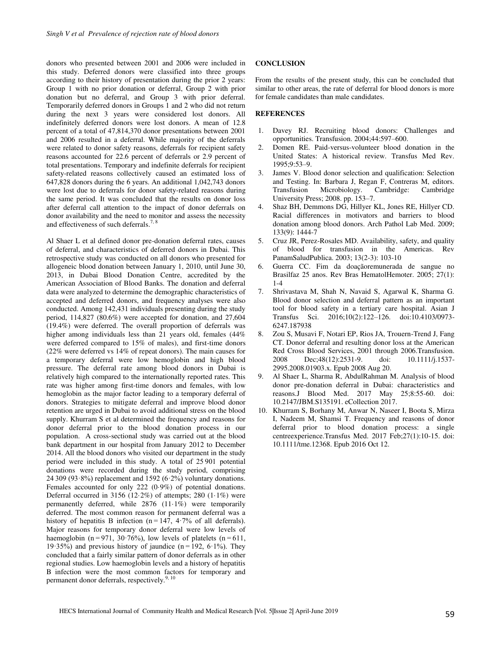donors who presented between 2001 and 2006 were included in this study. Deferred donors were classified into three groups according to their history of presentation during the prior 2 years: Group 1 with no prior donation or deferral, Group 2 with prior donation but no deferral, and Group 3 with prior deferral. Temporarily deferred donors in Groups 1 and 2 who did not return during the next 3 years were considered lost donors. All indefinitely deferred donors were lost donors. A mean of 12.8 percent of a total of 47,814,370 donor presentations between 2001 and 2006 resulted in a deferral. While majority of the deferrals were related to donor safety reasons, deferrals for recipient safety reasons accounted for 22.6 percent of deferrals or 2.9 percent of total presentations. Temporary and indefinite deferrals for recipient safety-related reasons collectively caused an estimated loss of 647,828 donors during the 6 years. An additional 1,042,743 donors were lost due to deferrals for donor safety-related reasons during the same period. It was concluded that the results on donor loss after deferral call attention to the impact of donor deferrals on donor availability and the need to monitor and assess the necessity and effectiveness of such deferrals.7, 8

Al Shaer L et al defined donor pre-donation deferral rates, causes of deferral, and characteristics of deferred donors in Dubai. This retrospective study was conducted on all donors who presented for allogeneic blood donation between January 1, 2010, until June 30, 2013, in Dubai Blood Donation Centre, accredited by the American Association of Blood Banks. The donation and deferral data were analyzed to determine the demographic characteristics of accepted and deferred donors, and frequency analyses were also conducted. Among 142,431 individuals presenting during the study period, 114,827 (80.6%) were accepted for donation, and 27,604 (19.4%) were deferred. The overall proportion of deferrals was higher among individuals less than 21 years old, females (44%) were deferred compared to 15% of males), and first-time donors (22% were deferred vs 14% of repeat donors). The main causes for a temporary deferral were low hemoglobin and high blood pressure. The deferral rate among blood donors in Dubai is relatively high compared to the internationally reported rates. This rate was higher among first-time donors and females, with low hemoglobin as the major factor leading to a temporary deferral of donors. Strategies to mitigate deferral and improve blood donor retention are urged in Dubai to avoid additional stress on the blood supply. Khurram S et al determined the frequency and reasons for donor deferral prior to the blood donation process in our population. A cross-sectional study was carried out at the blood bank department in our hospital from January 2012 to December 2014. All the blood donors who visited our department in the study period were included in this study. A total of 25 901 potential donations were recorded during the study period, comprising 24 309 (93·8%) replacement and 1592 (6·2%) voluntary donations. Females accounted for only 222 (0·9%) of potential donations. Deferral occurred in 3156 (12 $\cdot$ 2%) of attempts; 280 (1 $\cdot$ 1%) were permanently deferred, while 2876 (11·1%) were temporarily deferred. The most common reason for permanent deferral was a history of hepatitis B infection ( $n = 147$ , 4–7% of all deferrals). Major reasons for temporary donor deferral were low levels of haemoglobin ( $n = 971$ ,  $30.76\%$ ), low levels of platelets ( $n = 611$ , 19·35%) and previous history of jaundice  $(n=192, 6.1\%)$ . They concluded that a fairly similar pattern of donor deferrals as in other regional studies. Low haemoglobin levels and a history of hepatitis B infection were the most common factors for temporary and permanent donor deferrals, respectively.<sup>9, 10</sup>

#### **CONCLUSION**

From the results of the present study, this can be concluded that similar to other areas, the rate of deferral for blood donors is more for female candidates than male candidates.

#### **REFERENCES**

- 1. Davey RJ. Recruiting blood donors: Challenges and opportunities. Transfusion. 2004;44:597–600.
- 2. Domen RE. Paid-versus-volunteer blood donation in the United States: A historical review. Transfus Med Rev. 1995;9:53–9.
- 3. James V. Blood donor selection and qualification: Selection and Testing. In: Barbara J, Regan F, Contreras M, editors. Transfusion Microbiology. Cambridge: Cambridge University Press; 2008. pp. 153–7.
- 4. Shaz BH, Demmons DG, Hillyer KL, Jones RE, Hillyer CD. Racial differences in motivators and barriers to blood donation among blood donors. Arch Pathol Lab Med. 2009; 133(9): 1444-7
- 5. Cruz JR, Perez-Rosales MD. Availability, safety, and quality of blood for transfusion in the Americas. Rev PanamSaludPublica. 2003; 13(2-3): 103-10
- 6. Guerra CC. Fim da doaçãoremunerada de sangue no Brasilfaz 25 anos. Rev Bras HematolHemoter. 2005; 27(1): 1-4
- 7. Shrivastava M, Shah N, Navaid S, Agarwal K, Sharma G. Blood donor selection and deferral pattern as an important tool for blood safety in a tertiary care hospital. Asian J Transfus Sci. 2016;10(2):122–126. doi:10.4103/0973- 6247.187938
- 8. Zou S, Musavi F, Notari EP, Rios JA, Trouern-Trend J, Fang CT. Donor deferral and resulting donor loss at the American Red Cross Blood Services, 2001 through 2006.Transfusion.<br>2008 Dec:48(12):2531-9. doi: 10.1111/i.1537-Dec: 48(12): 2531-9. 2995.2008.01903.x. Epub 2008 Aug 20.
- 9. Al Shaer L, Sharma R, AbdulRahman M. Analysis of blood donor pre-donation deferral in Dubai: characteristics and reasons.J Blood Med. 2017 May 25;8:55-60. doi: 10.2147/JBM.S135191. eCollection 2017.
- 10. Khurram S, Borhany M, Anwar N, Naseer I, Boota S, Mirza I, Nadeem M, Shamsi T. Frequency and reasons of donor deferral prior to blood donation process: a single centreexperience.Transfus Med. 2017 Feb;27(1):10-15. doi: 10.1111/tme.12368. Epub 2016 Oct 12.